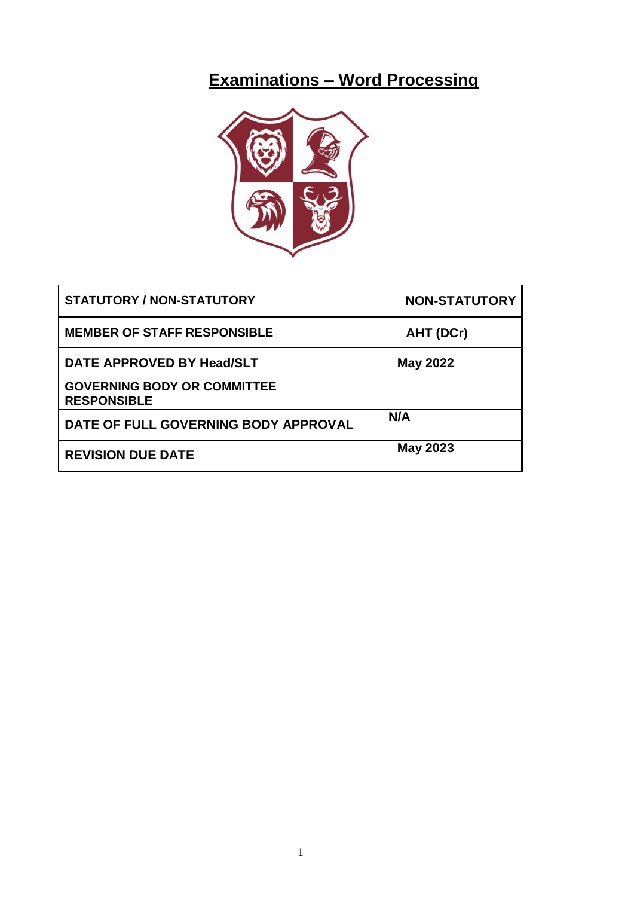# **Examinations – Word Processing**



| <b>STATUTORY / NON-STATUTORY</b>                         | <b>NON-STATUTORY</b> |
|----------------------------------------------------------|----------------------|
| <b>MEMBER OF STAFF RESPONSIBLE</b>                       | AHT (DCr)            |
| DATE APPROVED BY Head/SLT                                | <b>May 2022</b>      |
| <b>GOVERNING BODY OR COMMITTEE</b><br><b>RESPONSIBLE</b> |                      |
| DATE OF FULL GOVERNING BODY APPROVAL                     | N/A                  |
| <b>REVISION DUE DATE</b>                                 | <b>May 2023</b>      |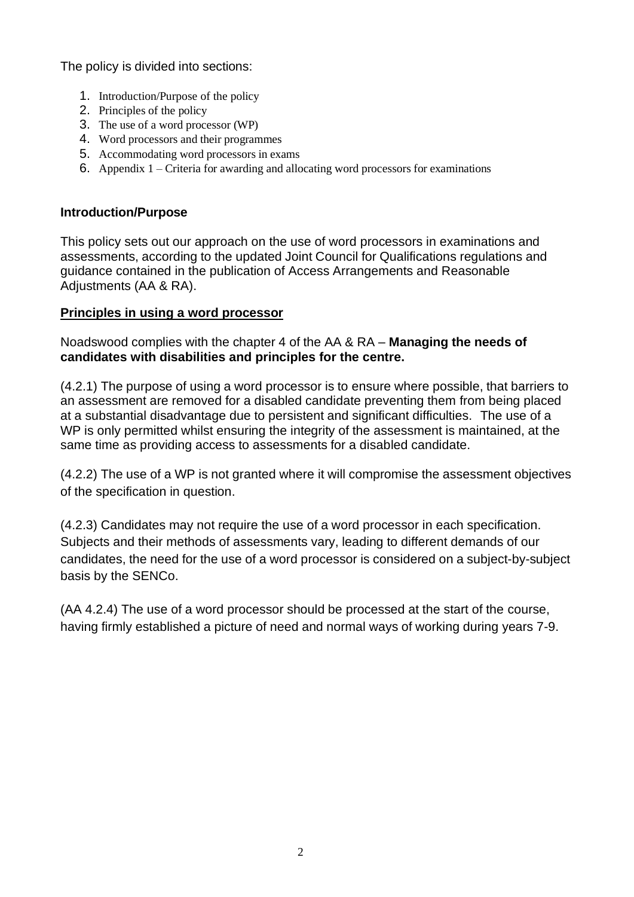The policy is divided into sections:

- 1. Introduction/Purpose of the policy
- 2. Principles of the policy
- 3. The use of a word processor (WP)
- 4. Word processors and their programmes
- 5. Accommodating word processors in exams
- 6. Appendix 1 Criteria for awarding and allocating word processors for examinations

#### **Introduction/Purpose**

This policy sets out our approach on the use of word processors in examinations and assessments, according to the updated Joint Council for Qualifications regulations and guidance contained in the publication of Access Arrangements and Reasonable Adjustments (AA & RA).

### **Principles in using a word processor**

Noadswood complies with the chapter 4 of the AA & RA – **Managing the needs of candidates with disabilities and principles for the centre.**

(4.2.1) The purpose of using a word processor is to ensure where possible, that barriers to an assessment are removed for a disabled candidate preventing them from being placed at a substantial disadvantage due to persistent and significant difficulties. The use of a WP is only permitted whilst ensuring the integrity of the assessment is maintained, at the same time as providing access to assessments for a disabled candidate.

(4.2.2) The use of a WP is not granted where it will compromise the assessment objectives of the specification in question.

(4.2.3) Candidates may not require the use of a word processor in each specification. Subjects and their methods of assessments vary, leading to different demands of our candidates, the need for the use of a word processor is considered on a subject-by-subject basis by the SENCo.

(AA 4.2.4) The use of a word processor should be processed at the start of the course, having firmly established a picture of need and normal ways of working during years 7-9.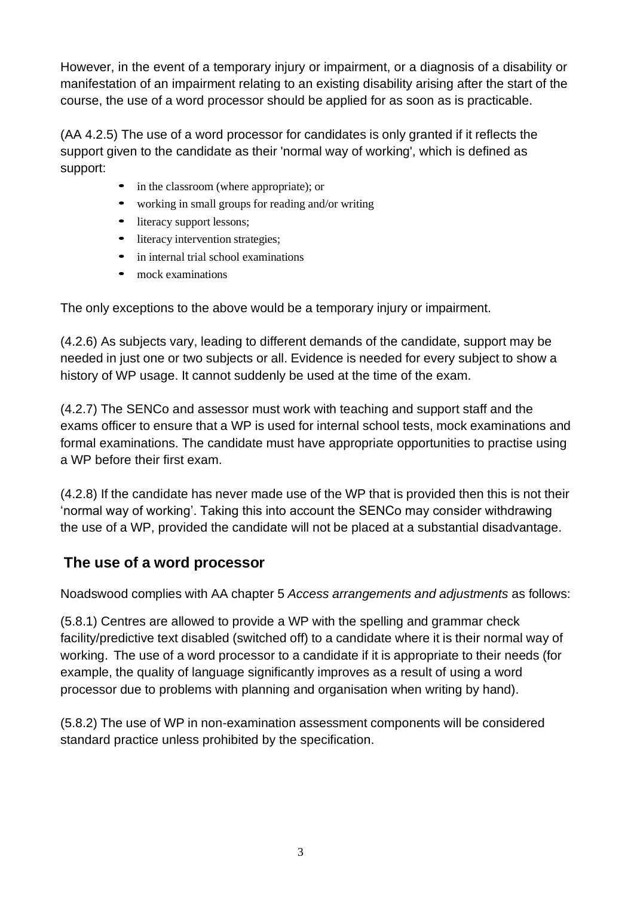However, in the event of a temporary injury or impairment, or a diagnosis of a disability or manifestation of an impairment relating to an existing disability arising after the start of the course, the use of a word processor should be applied for as soon as is practicable.

(AA 4.2.5) The use of a word processor for candidates is only granted if it reflects the support given to the candidate as their 'normal way of working', which is defined as support:

- in the classroom (where appropriate); or
- working in small groups for reading and/or writing
- literacy support lessons;
- literacy intervention strategies;
- in internal trial school examinations
- mock examinations

The only exceptions to the above would be a temporary injury or impairment.

(4.2.6) As subjects vary, leading to different demands of the candidate, support may be needed in just one or two subjects or all. Evidence is needed for every subject to show a history of WP usage. It cannot suddenly be used at the time of the exam.

(4.2.7) The SENCo and assessor must work with teaching and support staff and the exams officer to ensure that a WP is used for internal school tests, mock examinations and formal examinations. The candidate must have appropriate opportunities to practise using a WP before their first exam.

(4.2.8) If the candidate has never made use of the WP that is provided then this is not their 'normal way of working'. Taking this into account the SENCo may consider withdrawing the use of a WP, provided the candidate will not be placed at a substantial disadvantage.

# **The use of a word processor**

Noadswood complies with AA chapter 5 *Access arrangements and adjustments* as follows:

(5.8.1) Centres are allowed to provide a WP with the spelling and grammar check facility/predictive text disabled (switched off) to a candidate where it is their normal way of working. The use of a word processor to a candidate if it is appropriate to their needs (for example, the quality of language significantly improves as a result of using a word processor due to problems with planning and organisation when writing by hand).

(5.8.2) The use of WP in non-examination assessment components will be considered standard practice unless prohibited by the specification.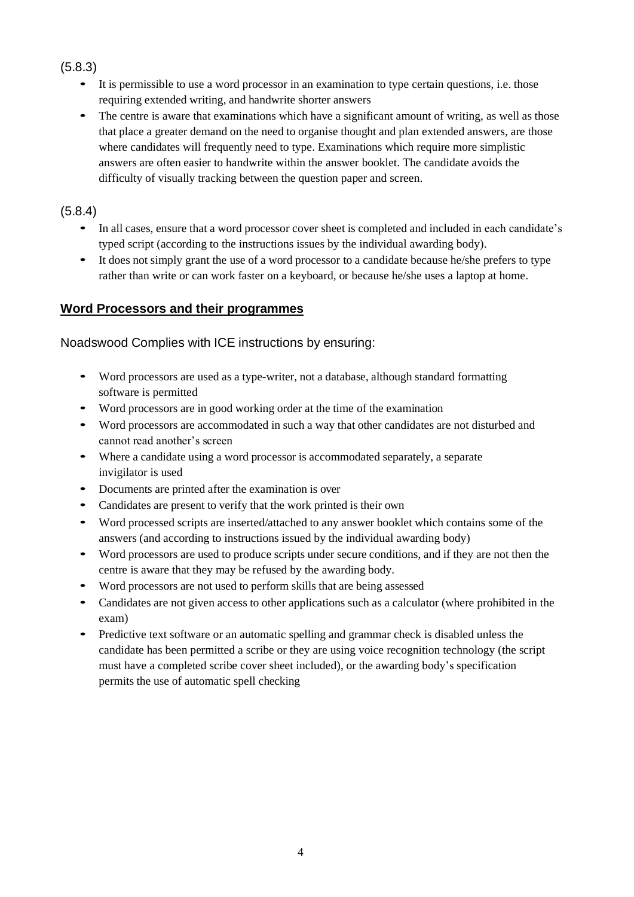### (5.8.3)

- It is permissible to use a word processor in an examination to type certain questions, i.e. those requiring extended writing, and handwrite shorter answers
- The centre is aware that examinations which have a significant amount of writing, as well as those that place a greater demand on the need to organise thought and plan extended answers, are those where candidates will frequently need to type. Examinations which require more simplistic answers are often easier to handwrite within the answer booklet. The candidate avoids the difficulty of visually tracking between the question paper and screen.

### (5.8.4)

- In all cases, ensure that a word processor cover sheet is completed and included in each candidate's typed script (according to the instructions issues by the individual awarding body).
- It does not simply grant the use of a word processor to a candidate because he/she prefers to type rather than write or can work faster on a keyboard, or because he/she uses a laptop at home.

### **Word Processors and their programmes**

Noadswood Complies with ICE instructions by ensuring:

- Word processors are used as <sup>a</sup> type-writer, not <sup>a</sup> database, although standard formatting software is permitted
- Word processors are in good working order at the time of the examination
- Word processors are accommodated in such <sup>a</sup> way that other candidates are not disturbed and cannot read another's screen
- Where <sup>a</sup> candidate using <sup>a</sup> word processor is accommodated separately, a separate invigilator is used
- Documents are printed after the examination is over
- Candidates are present to verify that the work printed is their own
- Word processed scripts are inserted/attached to any answer booklet which contains some of the answers (and according to instructions issued by the individual awarding body)
- Word processors are used to produce scripts under secure conditions, and if they are not then the centre is aware that they may be refused by the awarding body.
- Word processors are not used to perform skills that are being assessed
- Candidates are not given access to other applications such as a calculator (where prohibited in the exam)
- Predictive text software or an automatic spelling and grammar check is disabled unless the candidate has been permitted a scribe or they are using voice recognition technology (the script must have a completed scribe cover sheet included), or the awarding body's specification permits the use of automatic spell checking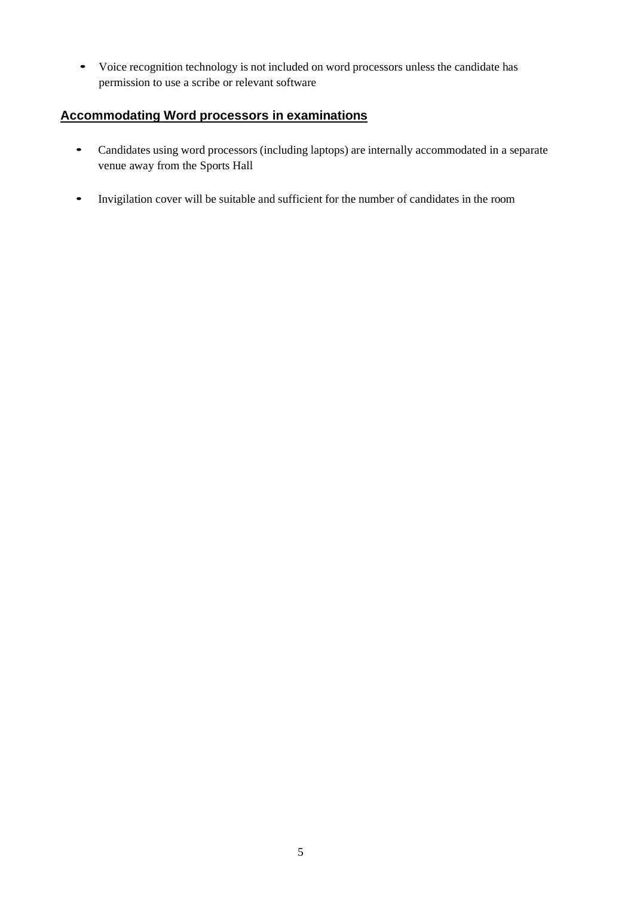• Voice recognition technology is not included on word processors unless the candidate has permission to use a scribe or relevant software

## **Accommodating Word processors in examinations**

- Candidates using word processors (including laptops) are internally accommodated in a separate venue away from the Sports Hall
- Invigilation cover will be suitable and sufficient for the number of candidates in the room